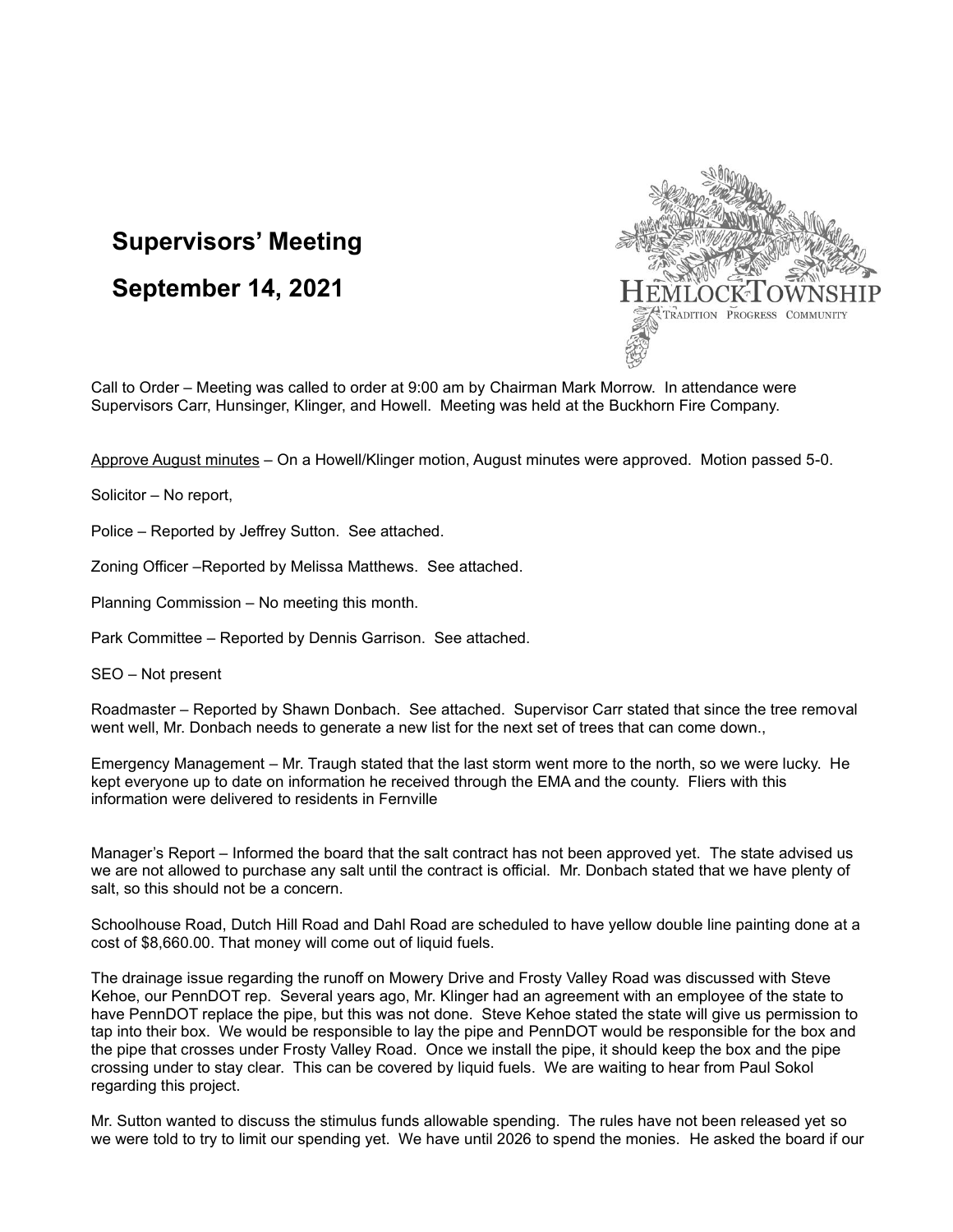## **Supervisors' Meeting**

**September 14, 2021**



Call to Order – Meeting was called to order at 9:00 am by Chairman Mark Morrow. In attendance were Supervisors Carr, Hunsinger, Klinger, and Howell. Meeting was held at the Buckhorn Fire Company.

Approve August minutes – On a Howell/Klinger motion, August minutes were approved. Motion passed 5-0.

Solicitor – No report,

Police – Reported by Jeffrey Sutton. See attached.

Zoning Officer –Reported by Melissa Matthews. See attached.

Planning Commission – No meeting this month.

Park Committee – Reported by Dennis Garrison. See attached.

SEO – Not present

Roadmaster – Reported by Shawn Donbach. See attached. Supervisor Carr stated that since the tree removal went well, Mr. Donbach needs to generate a new list for the next set of trees that can come down.,

Emergency Management – Mr. Traugh stated that the last storm went more to the north, so we were lucky. He kept everyone up to date on information he received through the EMA and the county. Fliers with this information were delivered to residents in Fernville

Manager's Report – Informed the board that the salt contract has not been approved yet. The state advised us we are not allowed to purchase any salt until the contract is official. Mr. Donbach stated that we have plenty of salt, so this should not be a concern.

Schoolhouse Road, Dutch Hill Road and Dahl Road are scheduled to have yellow double line painting done at a cost of \$8,660.00. That money will come out of liquid fuels.

The drainage issue regarding the runoff on Mowery Drive and Frosty Valley Road was discussed with Steve Kehoe, our PennDOT rep. Several years ago, Mr. Klinger had an agreement with an employee of the state to have PennDOT replace the pipe, but this was not done. Steve Kehoe stated the state will give us permission to tap into their box. We would be responsible to lay the pipe and PennDOT would be responsible for the box and the pipe that crosses under Frosty Valley Road. Once we install the pipe, it should keep the box and the pipe crossing under to stay clear. This can be covered by liquid fuels. We are waiting to hear from Paul Sokol regarding this project.

Mr. Sutton wanted to discuss the stimulus funds allowable spending. The rules have not been released yet so we were told to try to limit our spending yet. We have until 2026 to spend the monies. He asked the board if our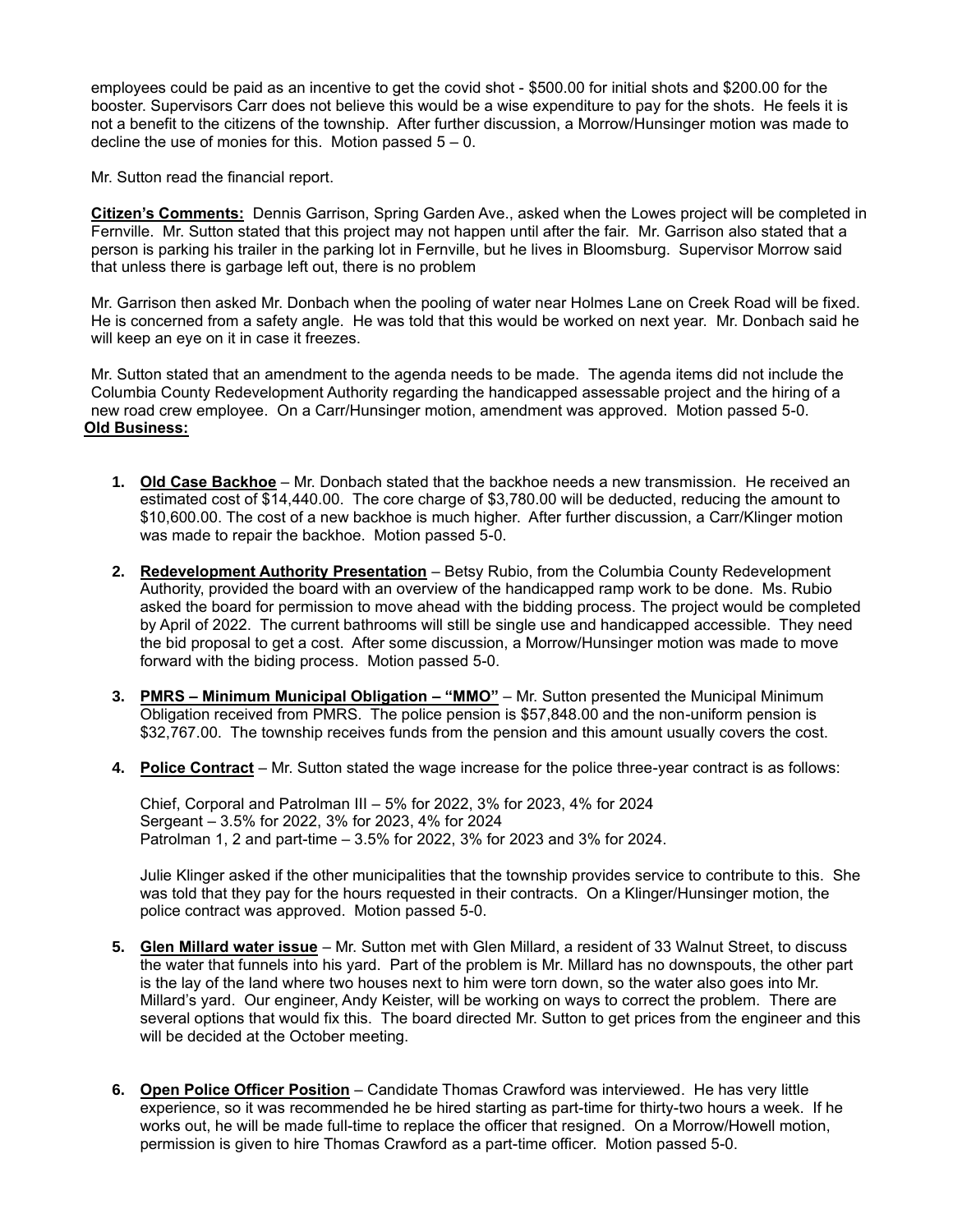employees could be paid as an incentive to get the covid shot - \$500.00 for initial shots and \$200.00 for the booster. Supervisors Carr does not believe this would be a wise expenditure to pay for the shots. He feels it is not a benefit to the citizens of the township. After further discussion, a Morrow/Hunsinger motion was made to decline the use of monies for this. Motion passed  $5 - 0$ .

Mr. Sutton read the financial report.

**Citizen's Comments:** Dennis Garrison, Spring Garden Ave., asked when the Lowes project will be completed in Fernville. Mr. Sutton stated that this project may not happen until after the fair. Mr. Garrison also stated that a person is parking his trailer in the parking lot in Fernville, but he lives in Bloomsburg. Supervisor Morrow said that unless there is garbage left out, there is no problem

Mr. Garrison then asked Mr. Donbach when the pooling of water near Holmes Lane on Creek Road will be fixed. He is concerned from a safety angle. He was told that this would be worked on next year. Mr. Donbach said he will keep an eye on it in case it freezes.

Mr. Sutton stated that an amendment to the agenda needs to be made. The agenda items did not include the Columbia County Redevelopment Authority regarding the handicapped assessable project and the hiring of a new road crew employee. On a Carr/Hunsinger motion, amendment was approved. Motion passed 5-0. **Old Business:**

- **1. Old Case Backhoe** Mr. Donbach stated that the backhoe needs a new transmission. He received an estimated cost of \$14,440.00. The core charge of \$3,780.00 will be deducted, reducing the amount to \$10,600.00. The cost of a new backhoe is much higher. After further discussion, a Carr/Klinger motion was made to repair the backhoe. Motion passed 5-0.
- **2. Redevelopment Authority Presentation** Betsy Rubio, from the Columbia County Redevelopment Authority, provided the board with an overview of the handicapped ramp work to be done. Ms. Rubio asked the board for permission to move ahead with the bidding process. The project would be completed by April of 2022. The current bathrooms will still be single use and handicapped accessible. They need the bid proposal to get a cost. After some discussion, a Morrow/Hunsinger motion was made to move forward with the biding process. Motion passed 5-0.
- **3. PMRS – Minimum Municipal Obligation – "MMO"** Mr. Sutton presented the Municipal Minimum Obligation received from PMRS. The police pension is \$57,848.00 and the non-uniform pension is \$32,767.00. The township receives funds from the pension and this amount usually covers the cost.
- **4. Police Contract** Mr. Sutton stated the wage increase for the police three-year contract is as follows:

Chief, Corporal and Patrolman III – 5% for 2022, 3% for 2023, 4% for 2024 Sergeant – 3.5% for 2022, 3% for 2023, 4% for 2024 Patrolman 1, 2 and part-time – 3.5% for 2022, 3% for 2023 and 3% for 2024.

Julie Klinger asked if the other municipalities that the township provides service to contribute to this. She was told that they pay for the hours requested in their contracts. On a Klinger/Hunsinger motion, the police contract was approved. Motion passed 5-0.

- **5. Glen Millard water issue** Mr. Sutton met with Glen Millard, a resident of 33 Walnut Street, to discuss the water that funnels into his yard. Part of the problem is Mr. Millard has no downspouts, the other part is the lay of the land where two houses next to him were torn down, so the water also goes into Mr. Millard's yard. Our engineer, Andy Keister, will be working on ways to correct the problem. There are several options that would fix this. The board directed Mr. Sutton to get prices from the engineer and this will be decided at the October meeting.
- **6. Open Police Officer Position** Candidate Thomas Crawford was interviewed. He has very little experience, so it was recommended he be hired starting as part-time for thirty-two hours a week. If he works out, he will be made full-time to replace the officer that resigned. On a Morrow/Howell motion, permission is given to hire Thomas Crawford as a part-time officer. Motion passed 5-0.